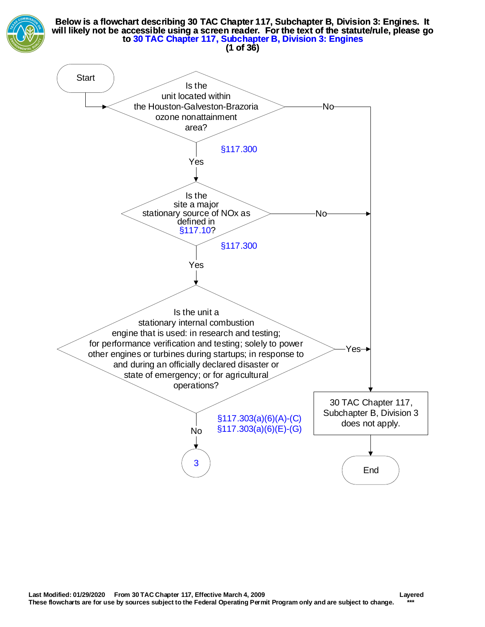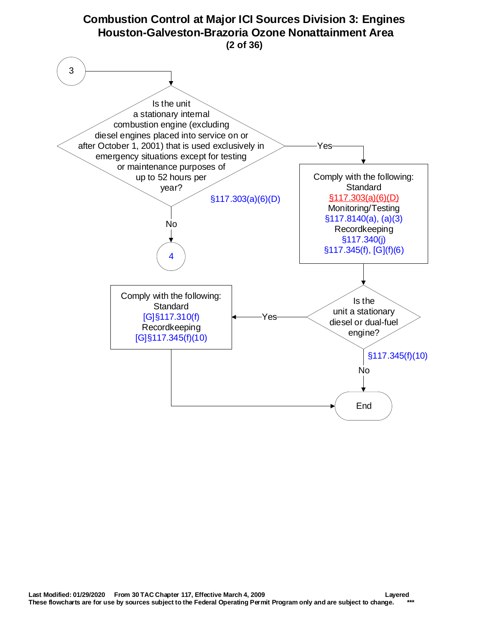<span id="page-1-0"></span>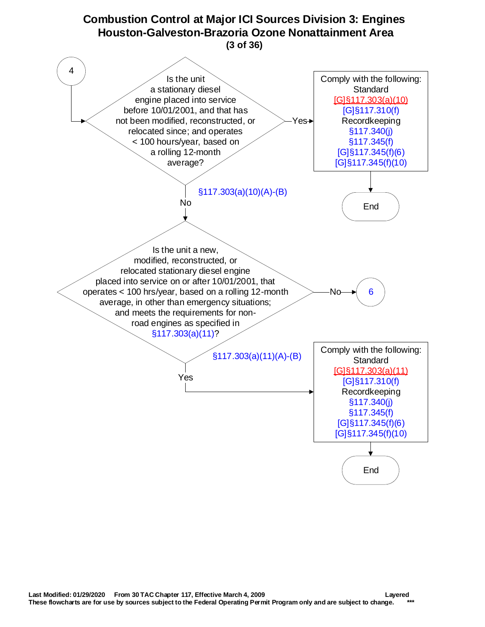<span id="page-2-0"></span>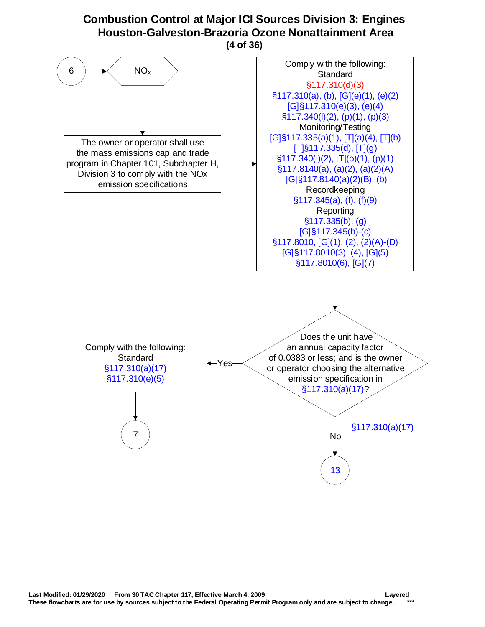## **Combustion Control at Major ICI Sources Division 3: Engines Houston-Galveston-Brazoria Ozone Nonattainment Area**

**(4 of 36)**

<span id="page-3-0"></span>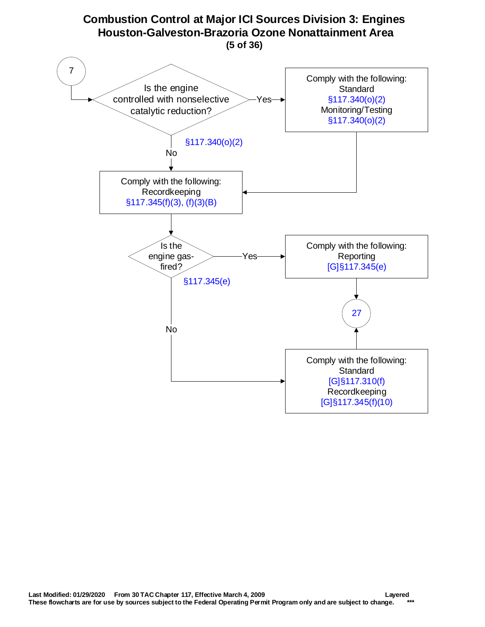<span id="page-4-0"></span>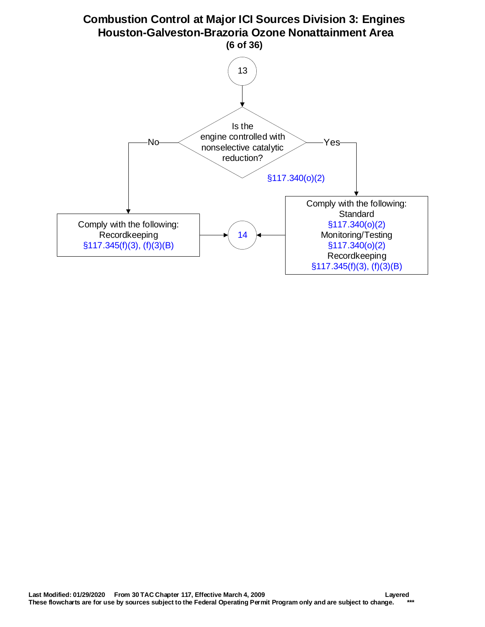<span id="page-5-0"></span>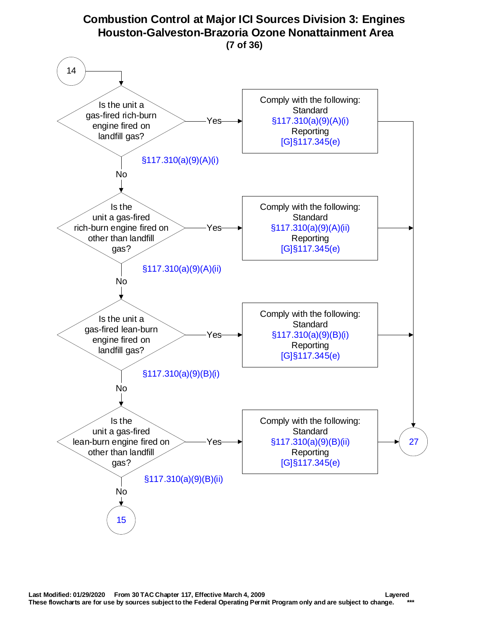<span id="page-6-0"></span>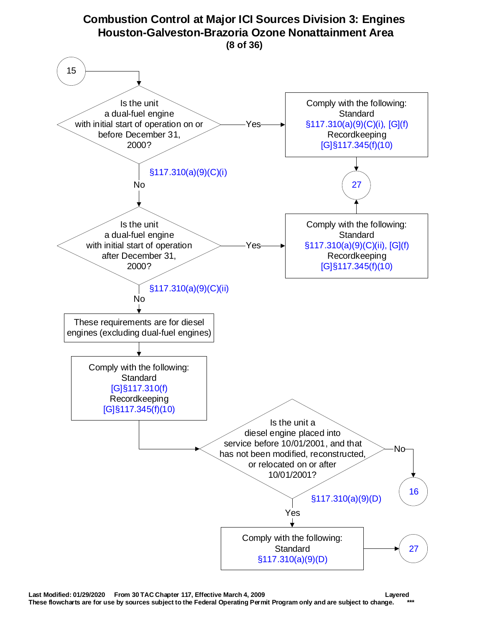<span id="page-7-0"></span>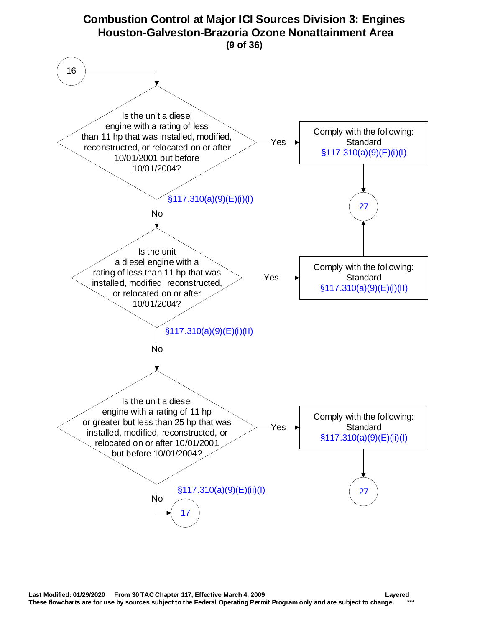<span id="page-8-0"></span>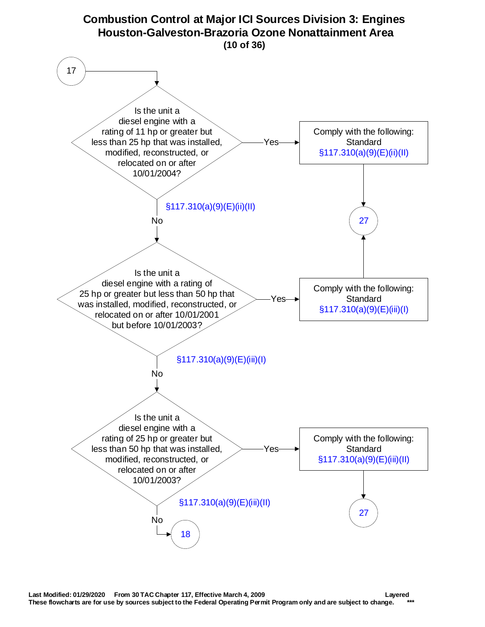<span id="page-9-0"></span>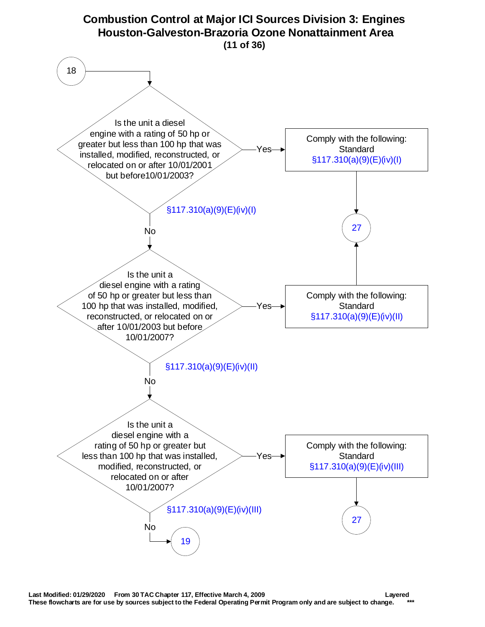<span id="page-10-0"></span>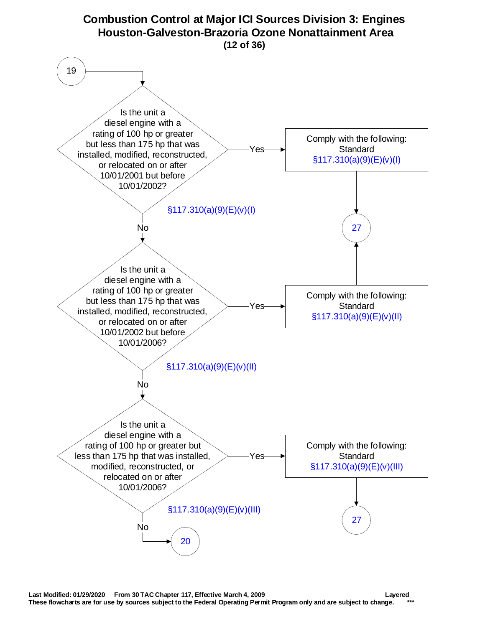<span id="page-11-0"></span>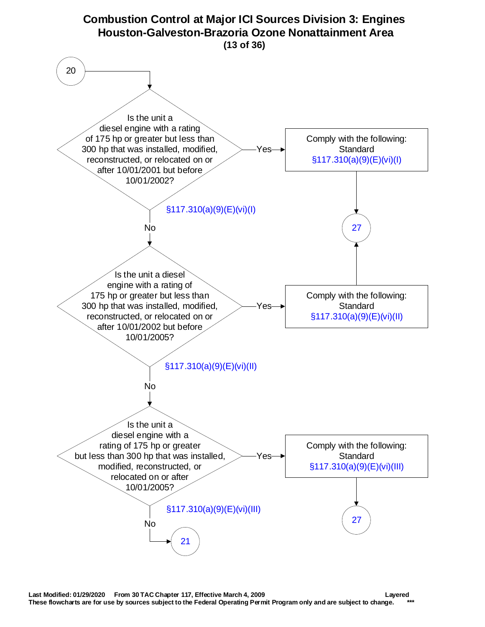<span id="page-12-0"></span>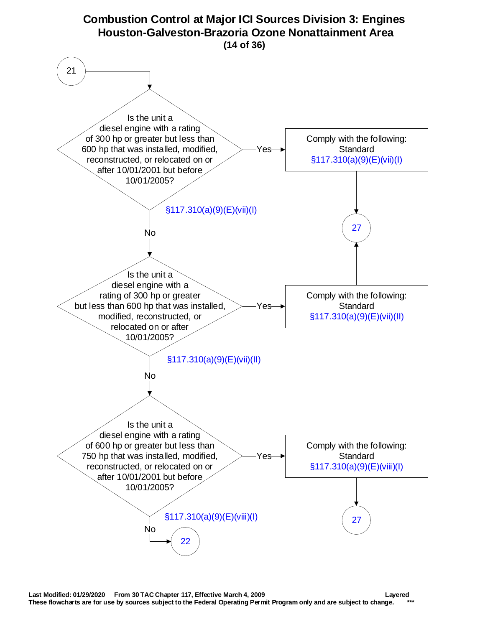<span id="page-13-0"></span>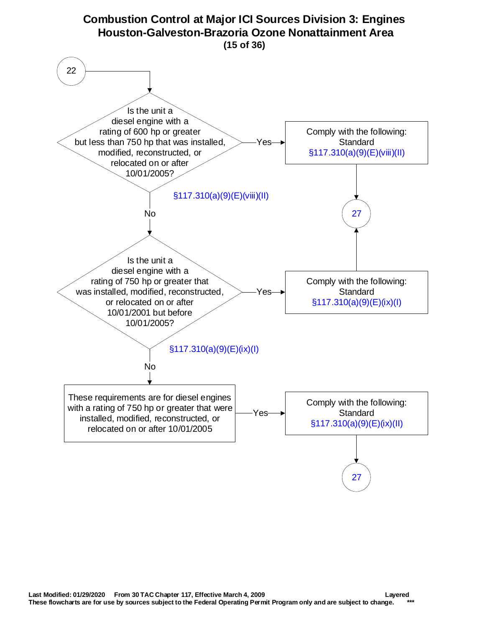<span id="page-14-0"></span>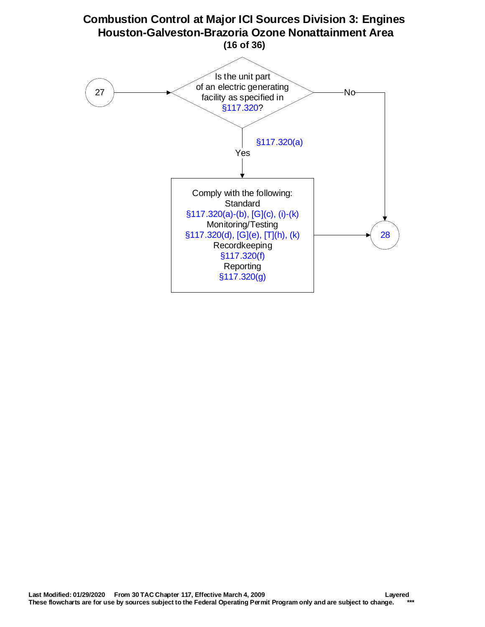<span id="page-15-0"></span>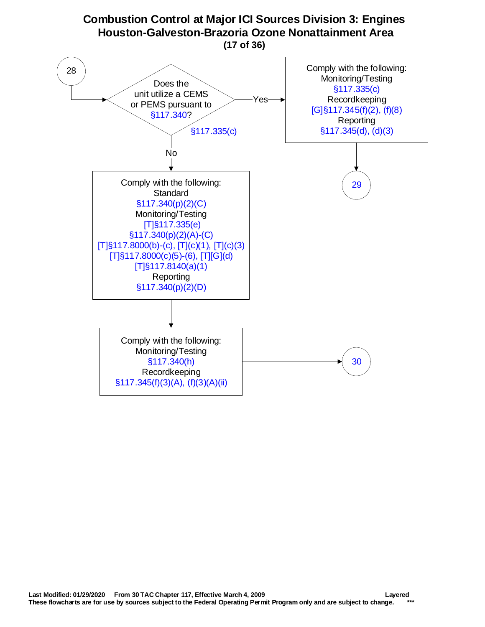<span id="page-16-0"></span>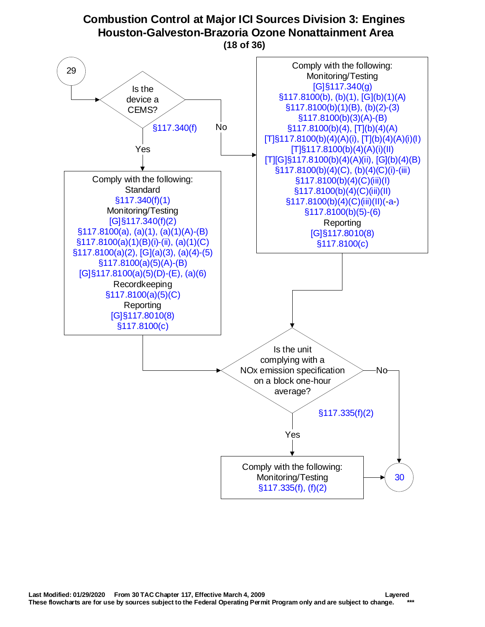# **Combustion Control at Major ICI Sources Division 3: Engines Houston-Galveston-Brazoria Ozone Nonattainment Area**

**(18 of 36)**

<span id="page-17-0"></span>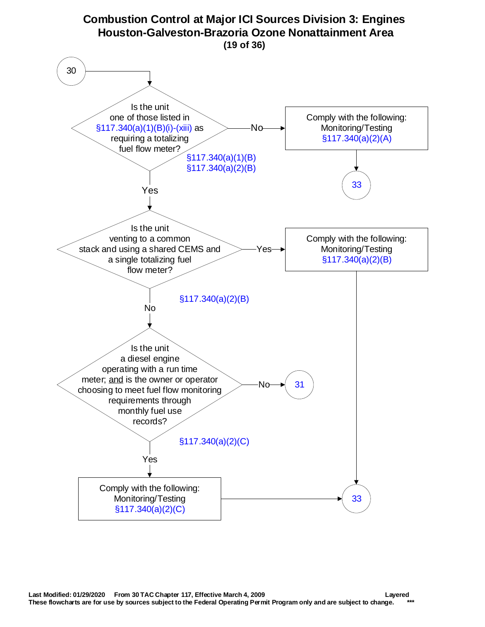<span id="page-18-0"></span>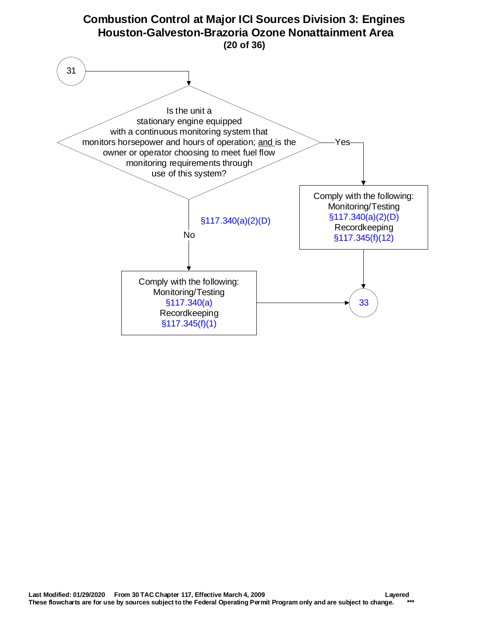<span id="page-19-0"></span>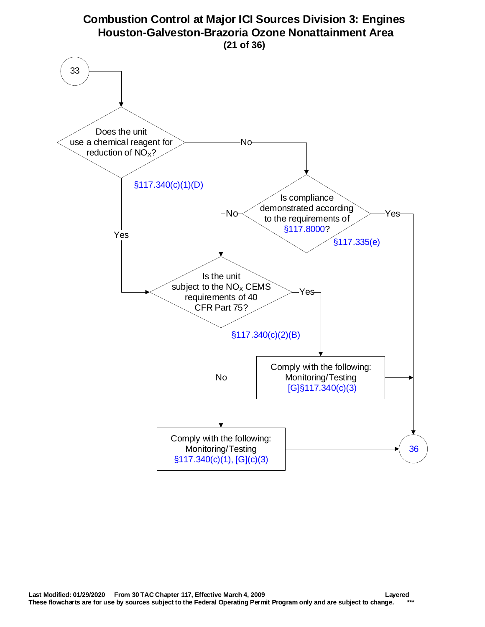<span id="page-20-0"></span>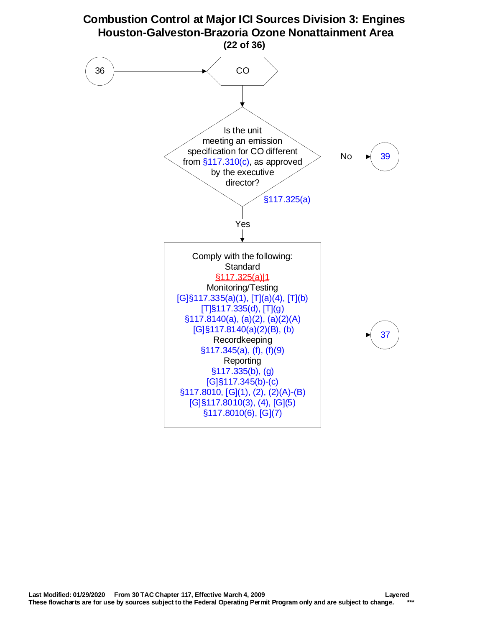<span id="page-21-0"></span>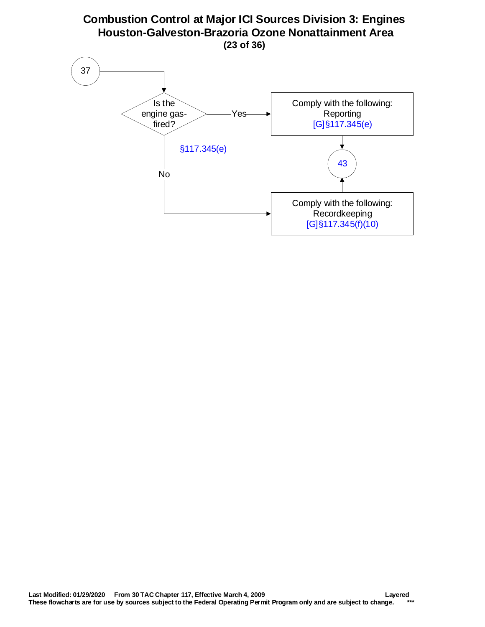#### **Combustion Control at Major ICI Sources Division 3: Engines Houston-Galveston-Brazoria Ozone Nonattainment Area (23 of 36)**

<span id="page-22-0"></span>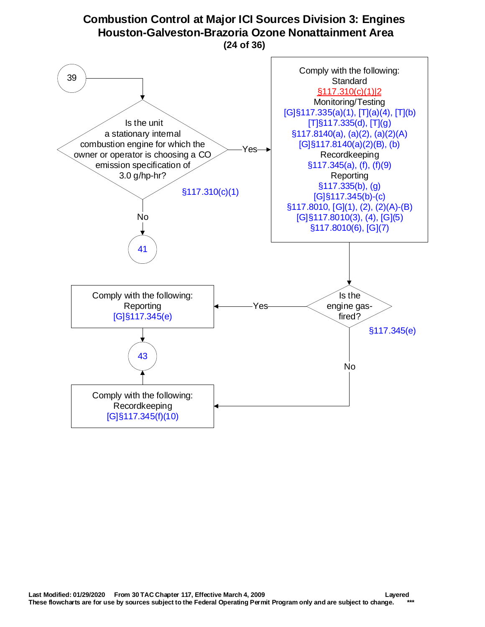# **Combustion Control at Major ICI Sources Division 3: Engines Houston-Galveston-Brazoria Ozone Nonattainment Area**

**(24 of 36)**

<span id="page-23-0"></span>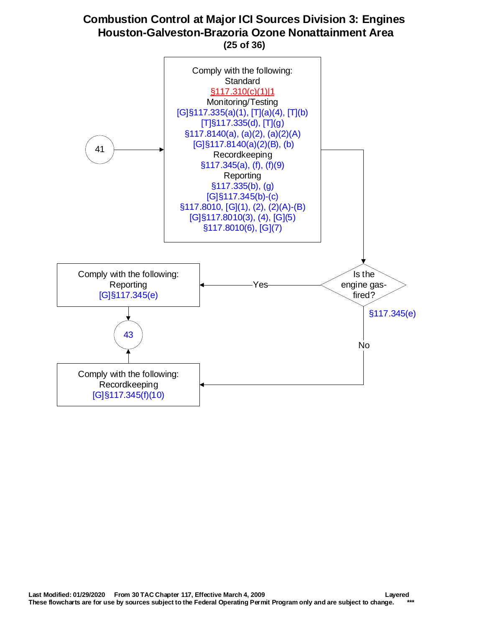#### **Combustion Control at Major ICI Sources Division 3: Engines Houston-Galveston-Brazoria Ozone Nonattainment Area (25 of 36)**

<span id="page-24-0"></span>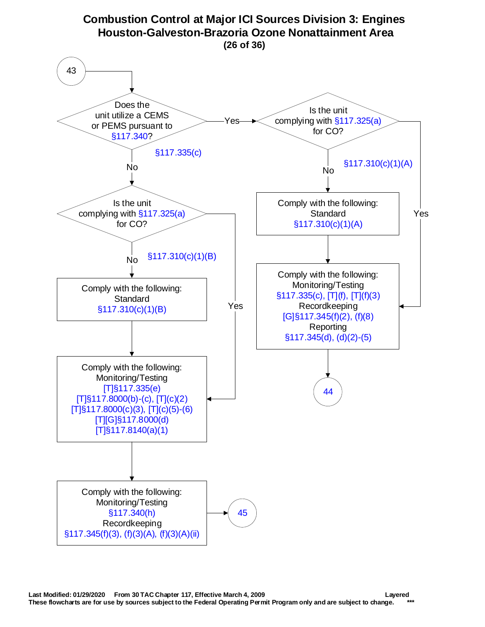<span id="page-25-0"></span>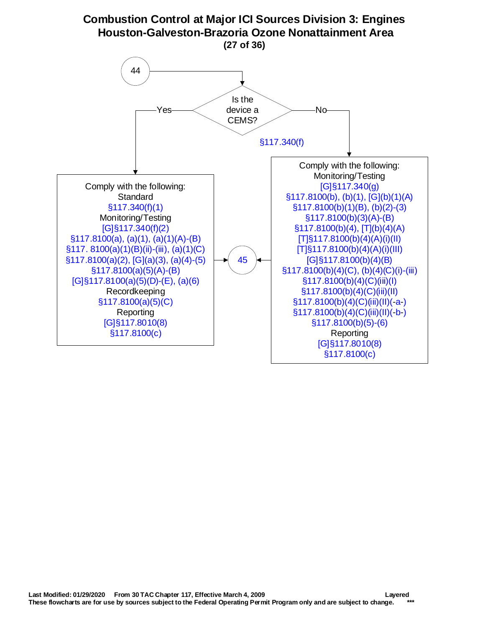<span id="page-26-0"></span>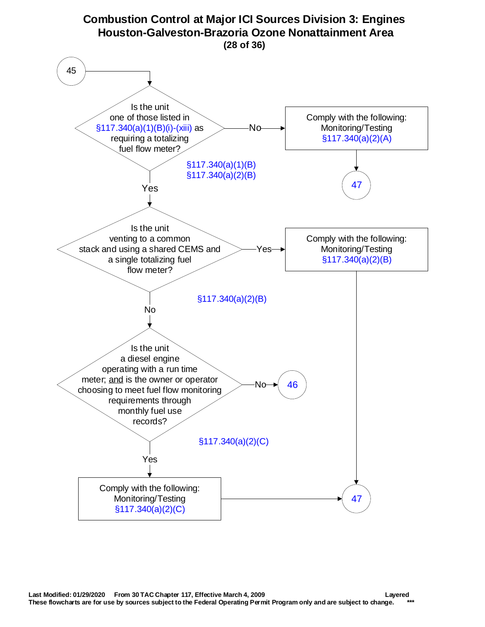<span id="page-27-0"></span>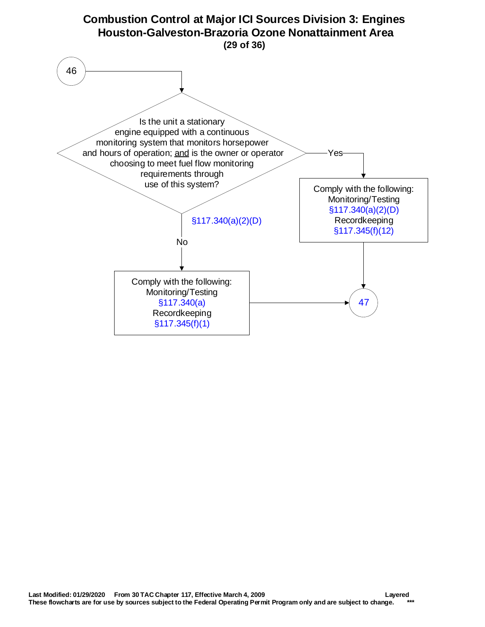<span id="page-28-0"></span>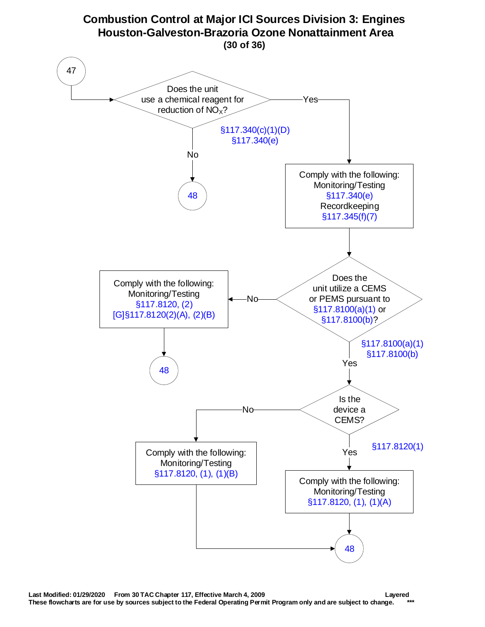<span id="page-29-0"></span>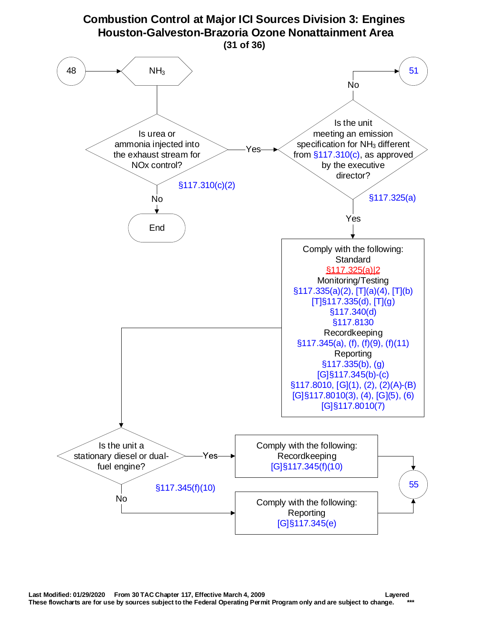<span id="page-30-0"></span>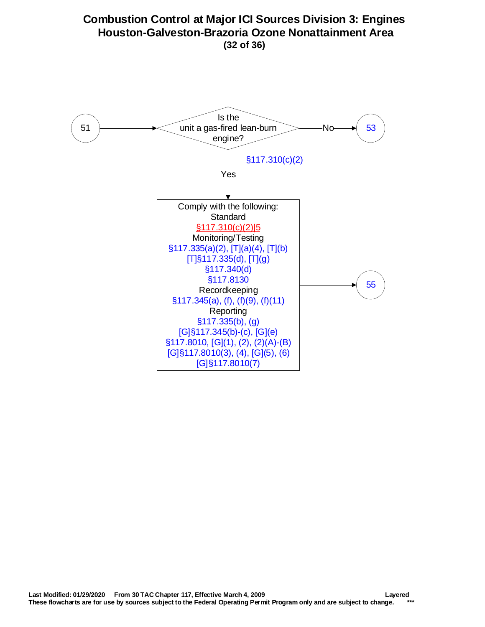### <span id="page-31-0"></span>**Combustion Control at Major ICI Sources Division 3: Engines Houston-Galveston-Brazoria Ozone Nonattainment Area (32 of 36)**

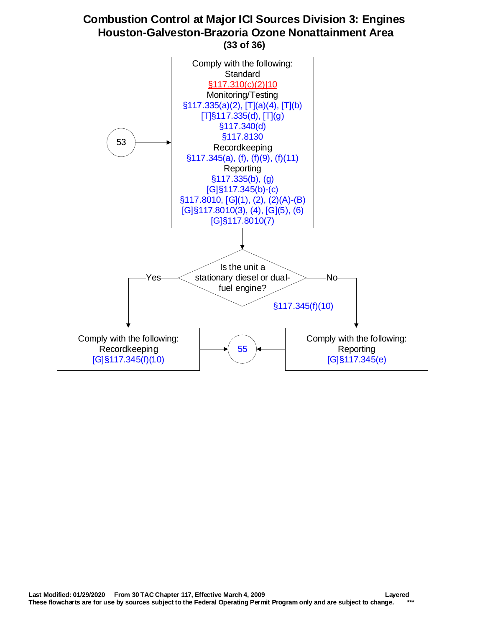#### **Combustion Control at Major ICI Sources Division 3: Engines Houston-Galveston-Brazoria Ozone Nonattainment Area (33 of 36)**

<span id="page-32-0"></span>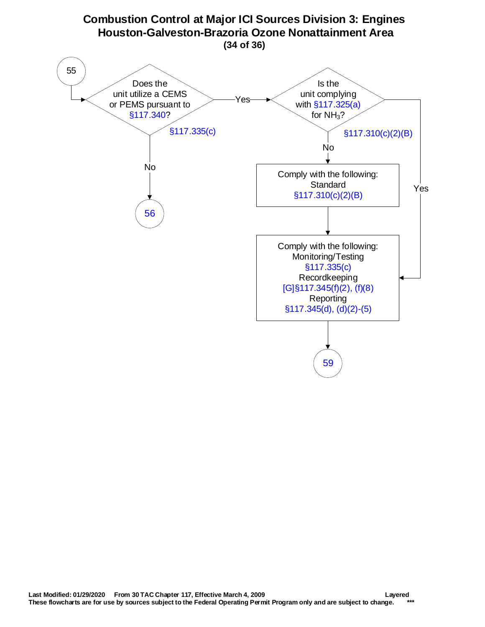<span id="page-33-0"></span>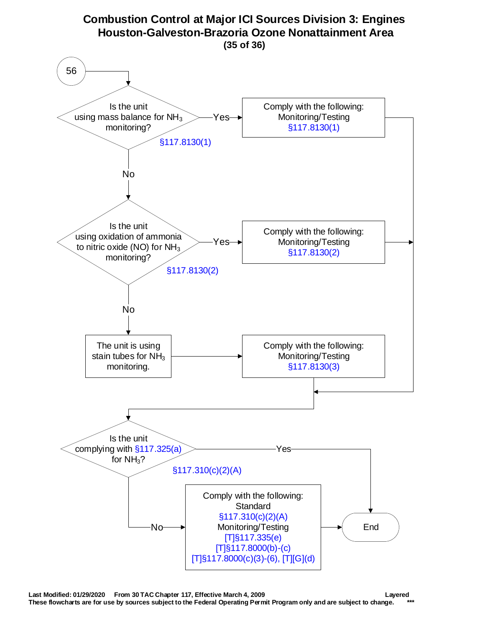<span id="page-34-0"></span>